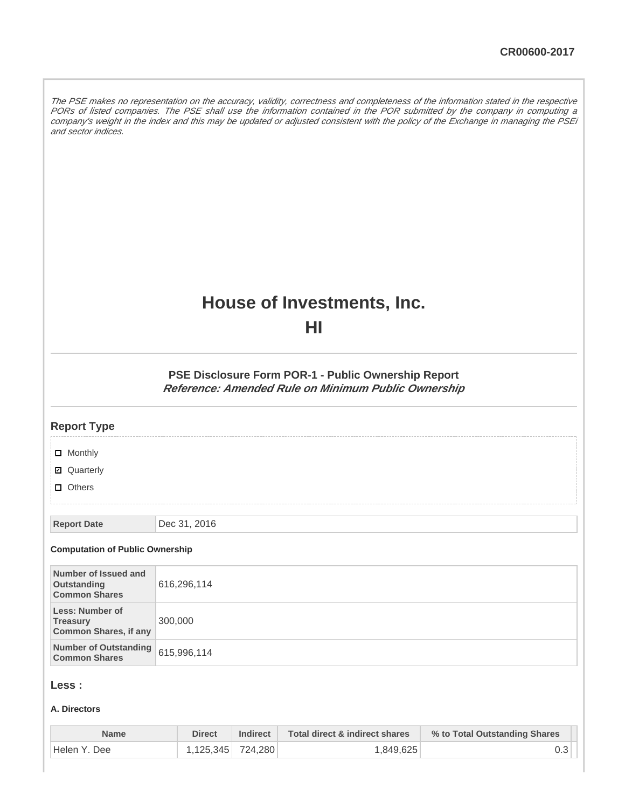The PSE makes no representation on the accuracy, validity, correctness and completeness of the information stated in the respective PORs of listed companies. The PSE shall use the information contained in the POR submitted by the company in computing a company's weight in the index and this may be updated or adjusted consistent with the policy of the Exchange in managing the PSEi and sector indices.

# **House of Investments, Inc.**

**HI**

**PSE Disclosure Form POR-1 - Public Ownership Report Reference: Amended Rule on Minimum Public Ownership**

| <b>Report Type</b>                                                        |              |
|---------------------------------------------------------------------------|--------------|
| $\Box$ Monthly                                                            |              |
| <b>Ø</b> Quarterly                                                        |              |
| $\Box$ Others                                                             |              |
|                                                                           |              |
| <b>Report Date</b>                                                        | Dec 31, 2016 |
| <b>Computation of Public Ownership</b>                                    |              |
| Number of Issued and<br><b>Outstanding</b><br><b>Common Shares</b>        | 616,296,114  |
| <b>Less: Number of</b><br><b>Treasury</b><br><b>Common Shares, if any</b> | 300,000      |
| <b>Number of Outstanding</b><br><b>Common Shares</b>                      | 615,996,114  |

# **Less :**

#### **A. Directors**

| <b>Name</b>  | Direct            | <b>Indirect</b> | Total direct & indirect shares | % to Total Outstanding Shares |
|--------------|-------------------|-----------------|--------------------------------|-------------------------------|
| Helen Y. Dee | 1.125.345 724.280 |                 | 1.849.625                      |                               |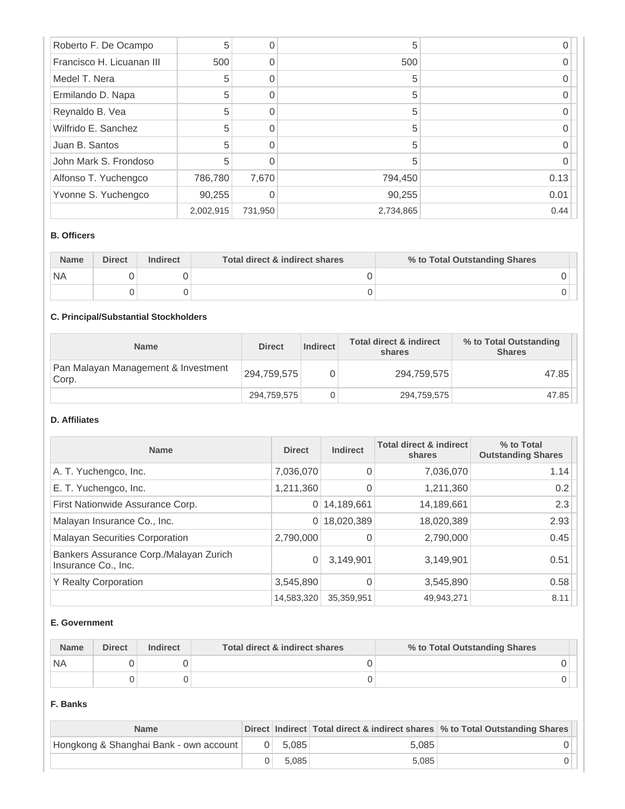| Roberto F. De Ocampo      | 5         | 0        | 5         |      |
|---------------------------|-----------|----------|-----------|------|
| Francisco H. Licuanan III | 500       | 0        | 500       |      |
| Medel T. Nera             | 5         | $\Omega$ | 5         |      |
| Ermilando D. Napa         | 5         | 0        | 5         |      |
| Reynaldo B. Vea           | 5         | $\Omega$ | 5         |      |
| Wilfrido E. Sanchez       | 5         |          | 5         |      |
| Juan B. Santos            | 5         | $\Omega$ | 5         |      |
| John Mark S. Frondoso     | 5         | ∩        | 5         |      |
| Alfonso T. Yuchengco      | 786,780   | 7,670    | 794,450   | 0.13 |
| Yvonne S. Yuchengco       | 90,255    | 0        | 90,255    | 0.01 |
|                           | 2,002,915 | 731,950  | 2,734,865 | 0.44 |

#### **B. Officers**

| <b>Name</b> | <b>Direct</b> | <b>Indirect</b> | Total direct & indirect shares | % to Total Outstanding Shares |
|-------------|---------------|-----------------|--------------------------------|-------------------------------|
| `NA         |               |                 |                                |                               |
|             |               |                 |                                |                               |

# **C. Principal/Substantial Stockholders**

| <b>Name</b>                                  | <b>Direct</b> | Indirect | <b>Total direct &amp; indirect</b><br>shares | % to Total Outstanding<br><b>Shares</b> |
|----------------------------------------------|---------------|----------|----------------------------------------------|-----------------------------------------|
| Pan Malayan Management & Investment<br>Corp. | 294,759,575   |          | 294,759,575                                  | 47.85                                   |
|                                              | 294,759,575   |          | 294,759,575                                  | 47.85                                   |

## **D. Affiliates**

| <b>Name</b>                                                   | <b>Direct</b> | <b>Indirect</b> | <b>Total direct &amp; indirect</b><br>shares | % to Total<br><b>Outstanding Shares</b> |
|---------------------------------------------------------------|---------------|-----------------|----------------------------------------------|-----------------------------------------|
| A. T. Yuchengco, Inc.                                         | 7,036,070     | $\Omega$        | 7,036,070                                    | 1.14                                    |
| E. T. Yuchengco, Inc.                                         | 1,211,360     | 0               | 1,211,360                                    | 0.2                                     |
| First Nationwide Assurance Corp.                              | 0             | 14,189,661      | 14,189,661                                   | 2.3                                     |
| Malayan Insurance Co., Inc.                                   | 0             | 18,020,389      | 18,020,389                                   | 2.93                                    |
| <b>Malayan Securities Corporation</b>                         | 2,790,000     |                 | 2,790,000                                    | 0.45                                    |
| Bankers Assurance Corp./Malayan Zurich<br>Insurance Co., Inc. | 0             | 3,149,901       | 3,149,901                                    | 0.51                                    |
| <b>Y Realty Corporation</b>                                   | 3,545,890     |                 | 3,545,890                                    | 0.58                                    |
|                                                               | 14,583,320    | 35,359,951      | 49,943,271                                   | 8.11                                    |

#### **E. Government**

| <b>Name</b> | <b>Direct</b> | Indirect | Total direct & indirect shares | % to Total Outstanding Shares |
|-------------|---------------|----------|--------------------------------|-------------------------------|
| <b>NA</b>   |               |          |                                |                               |
|             |               |          |                                |                               |

#### **F. Banks**

| <b>Name</b>                            |           |       | Direct Indirect Total direct & indirect shares % to Total Outstanding Shares |
|----------------------------------------|-----------|-------|------------------------------------------------------------------------------|
| Hongkong & Shanghai Bank - own account | $0$ 5.085 | 5.085 |                                                                              |
|                                        | 5.085     | 5.085 |                                                                              |